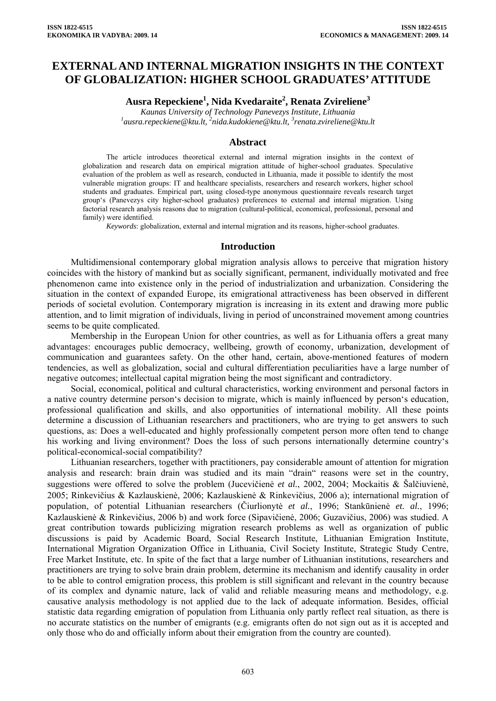# **EXTERNAL AND INTERNAL MIGRATION INSIGHTS IN THE CONTEXT OF GLOBALIZATION: HIGHER SCHOOL GRADUATES' ATTITUDE**

**Ausra Repeckiene1 , Nida Kvedaraite<sup>2</sup> , Renata Zvireliene3** 

*Kaunas University [of](mailto:2nida.kudokiene@ktu.lt) Technology Panevezys Institute, Lithuania [1](mailto:1ausra.repeckiene@ktu.lt) [ausra.repeckiene@ktu.lt](mailto:1ausra.repeckiene@ktu.lt), <sup>2</sup> [nida.kudokiene@ktu.lt](mailto:2nida.kudokiene@ktu.lt), <sup>3</sup> renata.zvireliene@ktu.lt* 

#### **Abstract**

The article introduces theoretical external and internal migration insights in the context of globalization and research data on empirical migration attitude of higher-school graduates. Speculative evaluation of the problem as well as research, conducted in Lithuania, made it possible to identify the most vulnerable migration groups: IT and healthcare specialists, researchers and research workers, higher school students and graduates. Empirical part, using closed-type anonymous questionnaire reveals research target group's (Panevezys city higher-school graduates) preferences to external and internal migration. Using factorial research analysis reasons due to migration (cultural-political, economical, professional, personal and family) were identified.

*Keywords*: globalization, external and internal migration and its reasons, higher-school graduates.

#### **Introduction**

Multidimensional contemporary global migration analysis allows to perceive that migration history coincides with the history of mankind but as socially significant, permanent, individually motivated and free phenomenon came into existence only in the period of industrialization and urbanization. Considering the situation in the context of expanded Europe, its emigrational attractiveness has been observed in different periods of societal evolution. Contemporary migration is increasing in its extent and drawing more public attention, and to limit migration of individuals, living in period of unconstrained movement among countries seems to be quite complicated.

Membership in the European Union for other countries, as well as for Lithuania offers a great many advantages: encourages public democracy, wellbeing, growth of economy, urbanization, development of communication and guarantees safety. On the other hand, certain, above-mentioned features of modern tendencies, as well as globalization, social and cultural differentiation peculiarities have a large number of negative outcomes; intellectual capital migration being the most significant and contradictory.

Social, economical, political and cultural characteristics, working environment and personal factors in a native country determine person's decision to migrate, which is mainly influenced by person's education, professional qualification and skills, and also opportunities of international mobility. All these points determine a discussion of Lithuanian researchers and practitioners, who are trying to get answers to such questions, as: Does a well-educated and highly professionally competent person more often tend to change his working and living environment? Does the loss of such persons internationally determine country's political-economical-social compatibility?

Lithuanian researchers, together with practitioners, pay considerable amount of attention for migration analysis and research: brain drain was studied and its main "drain" reasons were set in the country, suggestions were offered to solve the problem (Jucevičienė *et al.*, 2002, 2004; Mockaitis & Šalčiuvienė, 2005; Rinkevičius & Kazlauskienė, 2006; Kazlauskienė & Rinkevičius, 2006 a); international migration of population, of potential Lithuanian researchers (Čiurlionytė *et al.*, 1996; Stankūnienė *et. al.*, 1996; Kazlauskienė & Rinkevičius, 2006 b) and work force (Sipavičienė, 2006; Guzavičius, 2006) was studied. A great contribution towards publicizing migration research problems as well as organization of public discussions is paid by Academic Board, Social Research Institute, Lithuanian Emigration Institute, International Migration Organization Office in Lithuania, Civil Society Institute, Strategic Study Centre, Free Market Institute, etc. In spite of the fact that a large number of Lithuanian institutions, researchers and practitioners are trying to solve brain drain problem, determine its mechanism and identify causality in order to be able to control emigration process, this problem is still significant and relevant in the country because of its complex and dynamic nature, lack of valid and reliable measuring means and methodology, e.g. causative analysis methodology is not applied due to the lack of adequate information. Besides, official statistic data regarding emigration of population from Lithuania only partly reflect real situation, as there is no accurate statistics on the number of emigrants (e.g. emigrants often do not sign out as it is accepted and only those who do and officially inform about their emigration from the country are counted).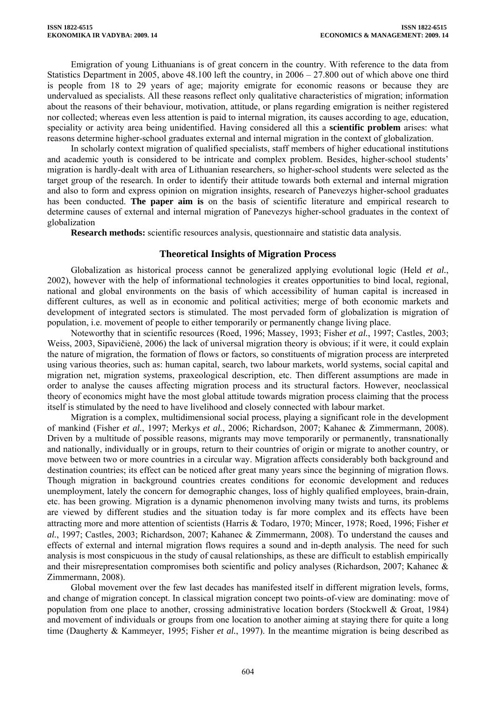Emigration of young Lithuanians is of great concern in the country. With reference to the data from Statistics Department in 2005, above 48.100 left the country, in 2006 – 27.800 out of which above one third is people from 18 to 29 years of age; majority emigrate for economic reasons or because they are undervalued as specialists. All these reasons reflect only qualitative characteristics of migration; information about the reasons of their behaviour, motivation, attitude, or plans regarding emigration is neither registered nor collected; whereas even less attention is paid to internal migration, its causes according to age, education, speciality or activity area being unidentified. Having considered all this a **scientific problem** arises: what reasons determine higher-school graduates external and internal migration in the context of globalization.

In scholarly context migration of qualified specialists, staff members of higher educational institutions and academic youth is considered to be intricate and complex problem. Besides, higher-school students' migration is hardly-dealt with area of Lithuanian researchers, so higher-school students were selected as the target group of the research. In order to identify their attitude towards both external and internal migration and also to form and express opinion on migration insights, research of Panevezys higher-school graduates has been conducted. **The paper aim is** on the basis of scientific literature and empirical research to determine causes of external and internal migration of Panevezys higher-school graduates in the context of globalization

**Research methods:** scientific resources analysis, questionnaire and statistic data analysis.

## **Theoretical Insights of Migration Process**

Globalization as historical process cannot be generalized applying evolutional logic (Held *et al.*, 2002), however with the help of informational technologies it creates opportunities to bind local, regional, national and global environments on the basis of which accessibility of human capital is increased in different cultures, as well as in economic and political activities; merge of both economic markets and development of integrated sectors is stimulated. The most pervaded form of globalization is migration of population, i.e. movement of people to either temporarily or permanently change living place.

Noteworthy that in scientific resources (Roed, 1996; Massey, 1993; Fisher *et al.*, 1997; Castles, 2003; Weiss, 2003, Sipavičienė, 2006) the lack of universal migration theory is obvious; if it were, it could explain the nature of migration, the formation of flows or factors, so constituents of migration process are interpreted using various theories, such as: human capital, search, two labour markets, world systems, social capital and migration net, migration systems, praxeological description, etc. Then different assumptions are made in order to analyse the causes affecting migration process and its structural factors. However, neoclassical theory of economics might have the most global attitude towards migration process claiming that the process itself is stimulated by the need to have livelihood and closely connected with labour market.

Migration is a complex, multidimensional social process, playing a significant role in the development of mankind (Fisher *et al.*, 1997; Merkys *et al.*, 2006; Richardson, 2007; Kahanec & Zimmermann, 2008). Driven by a multitude of possible reasons, migrants may move temporarily or permanently, transnationally and nationally, individually or in groups, return to their countries of origin or migrate to another country, or move between two or more countries in a circular way. Migration affects considerably both background and destination countries; its effect can be noticed after great many years since the beginning of migration flows. Though migration in background countries creates conditions for economic development and reduces unemployment, lately the concern for demographic changes, loss of highly qualified employees, brain-drain, etc. has been growing. Migration is a dynamic phenomenon involving many twists and turns, its problems are viewed by different studies and the situation today is far more complex and its effects have been attracting more and more attention of scientists (Harris & Todaro, 1970; Mincer, 1978; Roed, 1996; Fisher *et al.*, 1997; Castles, 2003; Richardson, 2007; Kahanec & Zimmermann, 2008). To understand the causes and effects of external and internal migration flows requires a sound and in-depth analysis. The need for such analysis is most conspicuous in the study of causal relationships, as these are difficult to establish empirically and their misrepresentation compromises both scientific and policy analyses (Richardson, 2007; Kahanec & Zimmermann, 2008).

Global movement over the few last decades has manifested itself in different migration levels, forms, and change of migration concept. In classical migration concept two points-of-view are dominating: move of population from one place to another, crossing administrative location borders (Stockwell & Groat, 1984) and movement of individuals or groups from one location to another aiming at staying there for quite a long time (Daugherty & Kammeyer, 1995; Fisher *et al.*, 1997). In the meantime migration is being described as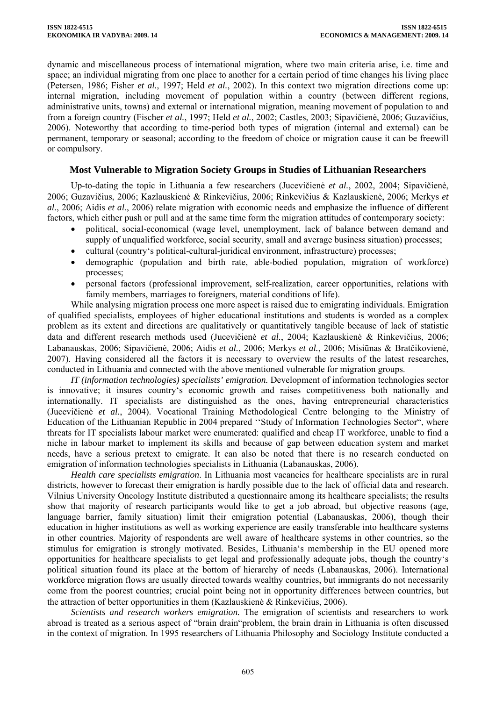dynamic and miscellaneous process of international migration, where two main criteria arise, i.e. time and space; an individual migrating from one place to another for a certain period of time changes his living place (Petersen, 1986; Fisher *et al.*, 1997; Held *et al.*, 2002). In this context two migration directions come up: internal migration, including movement of population within a country (between different regions, administrative units, towns) and external or international migration, meaning movement of population to and from a foreign country (Fischer *et al.*, 1997; Held *et al.*, 2002; Castles, 2003; Sipavičienė, 2006; Guzavičius, 2006). Noteworthy that according to time-period both types of migration (internal and external) can be permanent, temporary or seasonal; according to the freedom of choice or migration cause it can be freewill or compulsory.

## **Most Vulnerable to Migration Society Groups in Studies of Lithuanian Researchers**

Up-to-dating the topic in Lithuania a few researchers (Jucevičienė *et al.*, 2002, 2004; Sipavičienė, 2006; Guzavičius, 2006; Kazlauskienė & Rinkevičius, 2006; Rinkevičius & Kazlauskienė, 2006; Merkys *et al.*, 2006; Aidis *et al.*, 2006) relate migration with economic needs and emphasize the influence of different factors, which either push or pull and at the same time form the migration attitudes of contemporary society:

- political, social-economical (wage level, unemployment, lack of balance between demand and supply of unqualified workforce, social security, small and average business situation) processes;
- cultural (country's political-cultural-juridical environment, infrastructure) processes;
- demographic (population and birth rate, able-bodied population, migration of workforce) processes;
- personal factors (professional improvement, self-realization, career opportunities, relations with family members, marriages to foreigners, material conditions of life).

While analysing migration process one more aspect is raised due to emigrating individuals. Emigration of qualified specialists, employees of higher educational institutions and students is worded as a complex problem as its extent and directions are qualitatively or quantitatively tangible because of lack of statistic data and different research methods used (Jucevičienė *et al.*, 2004; Kazlauskienė & Rinkevičius, 2006; Labanauskas, 2006; Sipavičienė, 2006; Aidis *et al.*, 2006; Merkys *et al.*, 2006; Misiūnas & Bratčikovienė, 2007). Having considered all the factors it is necessary to overview the results of the latest researches, conducted in Lithuania and connected with the above mentioned vulnerable for migration groups.

*IT (information technologies) specialists' emigration.* Development of information technologies sector is innovative; it insures country's economic growth and raises competitiveness both nationally and internationally. IT specialists are distinguished as the ones, having entrepreneurial characteristics (Jucevičienė *et al.*, 2004). Vocational Training Methodological Centre belonging to the Ministry of Education of the Lithuanian Republic in 2004 prepared ''Study of Information Technologies Sector", where threats for IT specialists labour market were enumerated: qualified and cheap IT workforce, unable to find a niche in labour market to implement its skills and because of gap between education system and market needs, have a serious pretext to emigrate. It can also be noted that there is no research conducted on emigration of information technologies specialists in Lithuania (Labanauskas, 2006).

*Health care specialists emigration*. In Lithuania most vacancies for healthcare specialists are in rural districts, however to forecast their emigration is hardly possible due to the lack of official data and research. Vilnius University Oncology Institute distributed a questionnaire among its healthcare specialists; the results show that majority of research participants would like to get a job abroad, but objective reasons (age, language barrier, family situation) limit their emigration potential (Labanauskas, 2006), though their education in higher institutions as well as working experience are easily transferable into healthcare systems in other countries. Majority of respondents are well aware of healthcare systems in other countries, so the stimulus for emigration is strongly motivated. Besides, Lithuania's membership in the EU opened more opportunities for healthcare specialists to get legal and professionally adequate jobs, though the country's political situation found its place at the bottom of hierarchy of needs (Labanauskas, 2006). International workforce migration flows are usually directed towards wealthy countries, but immigrants do not necessarily come from the poorest countries; crucial point being not in opportunity differences between countries, but the attraction of better opportunities in them (Kazlauskienė & Rinkevičius, 2006).

*Scientists and research workers emigration.* The emigration of scientists and researchers to work abroad is treated as a serious aspect of "brain drain"problem, the brain drain in Lithuania is often discussed in the context of migration. In 1995 researchers of Lithuania Philosophy and Sociology Institute conducted a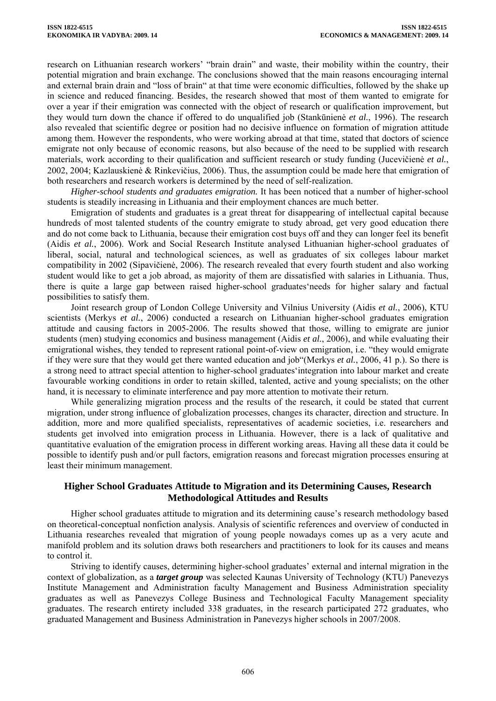research on Lithuanian research workers' "brain drain" and waste, their mobility within the country, their potential migration and brain exchange. The conclusions showed that the main reasons encouraging internal and external brain drain and "loss of brain" at that time were economic difficulties, followed by the shake up in science and reduced financing. Besides, the research showed that most of them wanted to emigrate for over a year if their emigration was connected with the object of research or qualification improvement, but they would turn down the chance if offered to do unqualified job (Stankūnienė *et al.*, 1996). The research also revealed that scientific degree or position had no decisive influence on formation of migration attitude among them. However the respondents, who were working abroad at that time, stated that doctors of science emigrate not only because of economic reasons, but also because of the need to be supplied with research materials, work according to their qualification and sufficient research or study funding (Jucevičienė *et al.*, 2002, 2004; Kazlauskienė & Rinkevičius, 2006). Thus, the assumption could be made here that emigration of both researchers and research workers is determined by the need of self-realization.

*Higher-school students and graduates emigration.* It has been noticed that a number of higher-school students is steadily increasing in Lithuania and their employment chances are much better.

Emigration of students and graduates is a great threat for disappearing of intellectual capital because hundreds of most talented students of the country emigrate to study abroad, get very good education there and do not come back to Lithuania, because their emigration cost buys off and they can longer feel its benefit (Aidis *et al.*, 2006). Work and Social Research Institute analysed Lithuanian higher-school graduates of liberal, social, natural and technological sciences, as well as graduates of six colleges labour market compatibility in 2002 (Sipavičienė, 2006). The research revealed that every fourth student and also working student would like to get a job abroad, as majority of them are dissatisfied with salaries in Lithuania. Thus, there is quite a large gap between raised higher-school graduates'needs for higher salary and factual possibilities to satisfy them.

Joint research group of London College University and Vilnius University (Aidis *et al.*, 2006), KTU scientists (Merkys *et al.*, 2006) conducted a research on Lithuanian higher-school graduates emigration attitude and causing factors in 2005-2006. The results showed that those, willing to emigrate are junior students (men) studying economics and business management (Aidis *et al.*, 2006), and while evaluating their emigrational wishes, they tended to represent rational point-of-view on emigration, i.e. "they would emigrate if they were sure that they would get there wanted education and job"(Merkys *et al.*, 2006, 41 p.). So there is a strong need to attract special attention to higher-school graduates'integration into labour market and create favourable working conditions in order to retain skilled, talented, active and young specialists; on the other hand, it is necessary to eliminate interference and pay more attention to motivate their return.

While generalizing migration process and the results of the research, it could be stated that current migration, under strong influence of globalization processes, changes its character, direction and structure. In addition, more and more qualified specialists, representatives of academic societies, i.e. researchers and students get involved into emigration process in Lithuania. However, there is a lack of qualitative and quantitative evaluation of the emigration process in different working areas. Having all these data it could be possible to identify push and/or pull factors, emigration reasons and forecast migration processes ensuring at least their minimum management.

# **Higher School Graduates Attitude to Migration and its Determining Causes, Research Methodological Attitudes and Results**

Higher school graduates attitude to migration and its determining cause's research methodology based on theoretical-conceptual nonfiction analysis. Analysis of scientific references and overview of conducted in Lithuania researches revealed that migration of young people nowadays comes up as a very acute and manifold problem and its solution draws both researchers and practitioners to look for its causes and means to control it.

Striving to identify causes, determining higher-school graduates' external and internal migration in the context of globalization, as a *target group* was selected Kaunas University of Technology (KTU) Panevezys Institute Management and Administration faculty Management and Business Administration speciality graduates as well as Panevezys College Business and Technological Faculty Management speciality graduates. The research entirety included 338 graduates, in the research participated 272 graduates, who graduated Management and Business Administration in Panevezys higher schools in 2007/2008.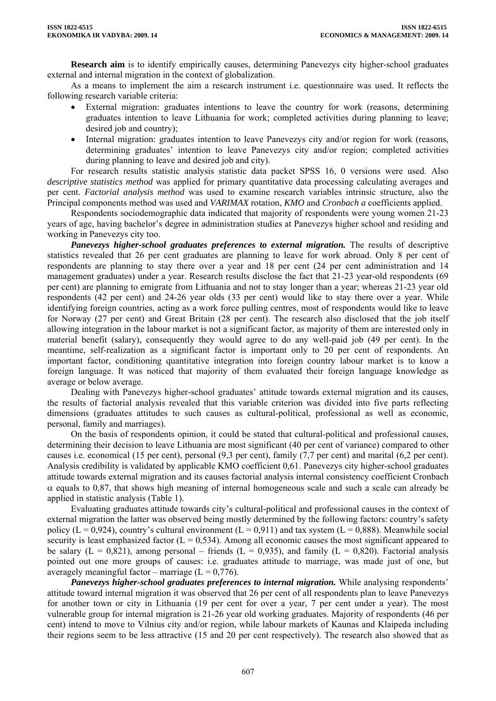**Research aim** is to identify empirically causes, determining Panevezys city higher-school graduates external and internal migration in the context of globalization.

As a means to implement the aim a research instrument i.e. questionnaire was used. It reflects the following research variable criteria:

- External migration: graduates intentions to leave the country for work (reasons, determining graduates intention to leave Lithuania for work; completed activities during planning to leave; desired job and country);
- Internal migration: graduates intention to leave Panevezys city and/or region for work (reasons, determining graduates' intention to leave Panevezys city and/or region; completed activities during planning to leave and desired job and city).

For research results statistic analysis statistic data packet SPSS 16, 0 versions were used. Also *descriptive statistics method* was applied for primary quantitative data processing calculating averages and per cent. *Factorial analysis method* was used to examine research variables intrinsic structure, also the Principal components method was used and *VARIMAX* rotation, *KMO* and *Cronbach a* coefficients applied.

Respondents sociodemographic data indicated that majority of respondents were young women 21-23 years of age, having bachelor's degree in administration studies at Panevezys higher school and residing and working in Panevezys city too.

*Panevezys higher-school graduates preferences to external migration.* The results of descriptive statistics revealed that 26 per cent graduates are planning to leave for work abroad. Only 8 per cent of respondents are planning to stay there over a year and 18 per cent (24 per cent administration and 14 management graduates) under a year. Research results disclose the fact that 21-23 year-old respondents (69 per cent) are planning to emigrate from Lithuania and not to stay longer than a year; whereas 21-23 year old respondents (42 per cent) and 24-26 year olds (33 per cent) would like to stay there over a year. While identifying foreign countries, acting as a work force pulling centres, most of respondents would like to leave for Norway (27 per cent) and Great Britain (28 per cent). The research also disclosed that the job itself allowing integration in the labour market is not a significant factor, as majority of them are interested only in material benefit (salary), consequently they would agree to do any well-paid job (49 per cent). In the meantime, self-realization as a significant factor is important only to 20 per cent of respondents. An important factor, conditioning quantitative integration into foreign country labour market is to know a foreign language. It was noticed that majority of them evaluated their foreign language knowledge as average or below average.

Dealing with Panevezys higher-school graduates' attitude towards external migration and its causes, the results of factorial analysis revealed that this variable criterion was divided into five parts reflecting dimensions (graduates attitudes to such causes as cultural-political, professional as well as economic, personal, family and marriages).

On the basis of respondents opinion, it could be stated that cultural-political and professional causes, determining their decision to leave Lithuania are most significant (40 per cent of variance) compared to other causes i.e. economical (15 per cent), personal (9,3 per cent), family (7,7 per cent) and marital (6,2 per cent). Analysis credibility is validated by applicable KMO coefficient 0,61. Panevezys city higher-school graduates attitude towards external migration and its causes factorial analysis internal consistency coefficient Cronbach  $\alpha$  equals to 0,87, that shows high meaning of internal homogeneous scale and such a scale can already be applied in statistic analysis (Table 1).

Evaluating graduates attitude towards city's cultural-political and professional causes in the context of external migration the latter was observed being mostly determined by the following factors: country's safety policy ( $L = 0.924$ ), country's cultural environment ( $L = 0.911$ ) and tax system ( $L = 0.888$ ). Meanwhile social security is least emphasized factor  $(L = 0.534)$ . Among all economic causes the most significant appeared to be salary ( $L = 0.821$ ), among personal – friends ( $L = 0.935$ ), and family ( $L = 0.820$ ). Factorial analysis pointed out one more groups of causes: i.e. graduates attitude to marriage, was made just of one, but averagely meaningful factor – marriage  $(L = 0.776)$ .

*Panevezys higher-school graduates preferences to internal migration.* While analysing respondents' attitude toward internal migration it was observed that 26 per cent of all respondents plan to leave Panevezys for another town or city in Lithuania (19 per cent for over a year, 7 per cent under a year). The most vulnerable group for internal migration is 21-26 year old working graduates. Majority of respondents (46 per cent) intend to move to Vilnius city and/or region, while labour markets of Kaunas and Klaipeda including their regions seem to be less attractive (15 and 20 per cent respectively). The research also showed that as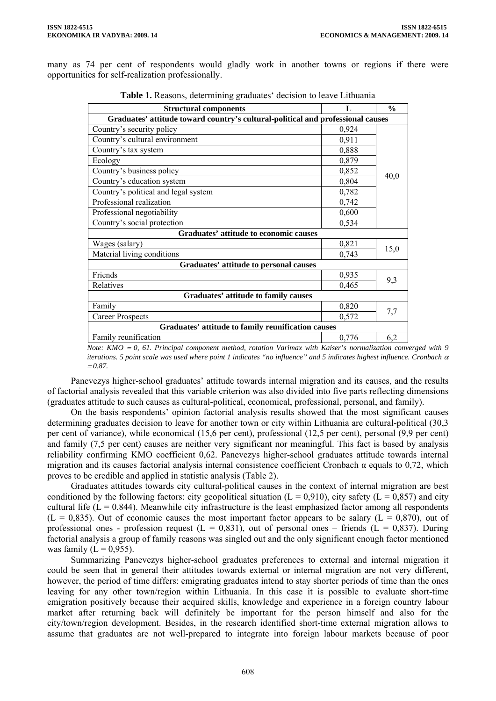many as 74 per cent of respondents would gladly work in another towns or regions if there were opportunities for self-realization professionally.

| <b>Structural components</b>                                                    | L     | $\frac{6}{9}$ |  |  |  |  |  |
|---------------------------------------------------------------------------------|-------|---------------|--|--|--|--|--|
| Graduates' attitude toward country's cultural-political and professional causes |       |               |  |  |  |  |  |
| Country's security policy                                                       | 0,924 |               |  |  |  |  |  |
| Country's cultural environment                                                  | 0,911 |               |  |  |  |  |  |
| Country's tax system                                                            | 0,888 |               |  |  |  |  |  |
| Ecology                                                                         | 0,879 |               |  |  |  |  |  |
| Country's business policy                                                       | 0,852 |               |  |  |  |  |  |
| Country's education system                                                      | 0,804 | 40,0          |  |  |  |  |  |
| Country's political and legal system                                            | 0,782 |               |  |  |  |  |  |
| Professional realization                                                        | 0,742 |               |  |  |  |  |  |
| Professional negotiability                                                      | 0,600 |               |  |  |  |  |  |
| Country's social protection                                                     | 0,534 |               |  |  |  |  |  |
| <b>Graduates' attitude to economic causes</b>                                   |       |               |  |  |  |  |  |
| Wages (salary)                                                                  | 0,821 | 15,0          |  |  |  |  |  |
| Material living conditions                                                      | 0,743 |               |  |  |  |  |  |
| Graduates' attitude to personal causes                                          |       |               |  |  |  |  |  |
| Friends                                                                         | 0,935 | 9,3           |  |  |  |  |  |
| Relatives                                                                       | 0,465 |               |  |  |  |  |  |
| <b>Graduates' attitude to family causes</b>                                     |       |               |  |  |  |  |  |
| Family                                                                          | 0,820 |               |  |  |  |  |  |
| <b>Career Prospects</b>                                                         | 0,572 | 7,7           |  |  |  |  |  |
| Graduates' attitude to family reunification causes                              |       |               |  |  |  |  |  |
| Family reunification                                                            | 0,776 | 6,2           |  |  |  |  |  |

| Table 1. Reasons, determining graduates' decision to leave Lithuania |  |  |  |  |  |
|----------------------------------------------------------------------|--|--|--|--|--|
|----------------------------------------------------------------------|--|--|--|--|--|

*Note: KMO* = *0, 61. Principal component method, rotation Varimax with Kaiser's normalization converged with 9 iterations. 5 point scale was used where point 1 indicates "no influence" and 5 indicates highest influence. Cronbach* <sup>α</sup>  $= 0.87.$ 

Panevezys higher-school graduates' attitude towards internal migration and its causes, and the results of factorial analysis revealed that this variable criterion was also divided into five parts reflecting dimensions (graduates attitude to such causes as cultural-political, economical, professional, personal, and family).

On the basis respondents' opinion factorial analysis results showed that the most significant causes determining graduates decision to leave for another town or city within Lithuania are cultural-political (30,3 per cent of variance), while economical (15,6 per cent), professional (12,5 per cent), personal (9,9 per cent) and family (7,5 per cent) causes are neither very significant nor meaningful. This fact is based by analysis reliability confirming KMO coefficient 0,62. Panevezys higher-school graduates attitude towards internal migration and its causes factorial analysis internal consistence coefficient Cronbach  $\alpha$  equals to 0,72, which proves to be credible and applied in statistic analysis (Table 2).

Graduates attitudes towards city cultural-political causes in the context of internal migration are best conditioned by the following factors: city geopolitical situation ( $L = 0.910$ ), city safety ( $L = 0.857$ ) and city cultural life ( $\overline{L} = 0.844$ ). Meanwhile city infrastructure is the least emphasized factor among all respondents  $(L = 0.835)$ . Out of economic causes the most important factor appears to be salary  $(L = 0.870)$ , out of professional ones - profession request  $(L = 0.831)$ , out of personal ones – friends  $(L = 0.837)$ . During factorial analysis a group of family reasons was singled out and the only significant enough factor mentioned was family  $(L = 0.955)$ .

Summarizing Panevezys higher-school graduates preferences to external and internal migration it could be seen that in general their attitudes towards external or internal migration are not very different, however, the period of time differs: emigrating graduates intend to stay shorter periods of time than the ones leaving for any other town/region within Lithuania. In this case it is possible to evaluate short-time emigration positively because their acquired skills, knowledge and experience in a foreign country labour market after returning back will definitely be important for the person himself and also for the city/town/region development. Besides, in the research identified short-time external migration allows to assume that graduates are not well-prepared to integrate into foreign labour markets because of poor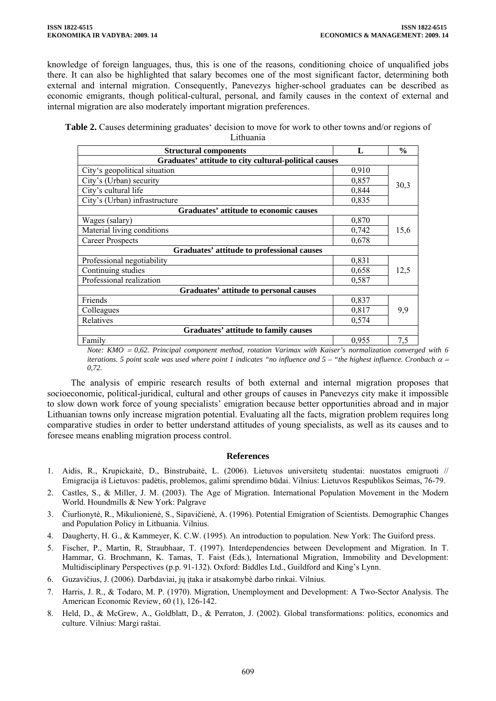knowledge of foreign languages, thus, this is one of the reasons, conditioning choice of unqualified jobs there. It can also be highlighted that salary becomes one of the most significant factor, determining both external and internal migration. Consequently, Panevezys higher-school graduates can be described as economic emigrants, though political-cultural, personal, and family causes in the context of external and internal migration are also moderately important migration preferences.

**Table 2.** Causes determining graduates' decision to move for work to other towns and/or regions of Lithuania

| пинисти                                               |       |               |  |  |  |  |  |
|-------------------------------------------------------|-------|---------------|--|--|--|--|--|
| <b>Structural components</b>                          | L     | $\frac{6}{9}$ |  |  |  |  |  |
| Graduates' attitude to city cultural-political causes |       |               |  |  |  |  |  |
| City's geopolitical situation                         | 0,910 |               |  |  |  |  |  |
| City's (Urban) security                               | 0,857 | 30,3          |  |  |  |  |  |
| City's cultural life                                  | 0,844 |               |  |  |  |  |  |
| City's (Urban) infrastructure                         | 0,835 |               |  |  |  |  |  |
| <b>Graduates' attitude to economic causes</b>         |       |               |  |  |  |  |  |
| Wages (salary)                                        | 0,870 | 15,6          |  |  |  |  |  |
| Material living conditions                            | 0,742 |               |  |  |  |  |  |
| <b>Career Prospects</b>                               | 0,678 |               |  |  |  |  |  |
| Graduates' attitude to professional causes            |       |               |  |  |  |  |  |
| Professional negotiability                            | 0,831 | 12,5          |  |  |  |  |  |
| Continuing studies                                    | 0,658 |               |  |  |  |  |  |
| Professional realization                              | 0,587 |               |  |  |  |  |  |
| <b>Graduates' attitude to personal causes</b>         |       |               |  |  |  |  |  |
| Friends                                               | 0,837 | 9,9           |  |  |  |  |  |
| Colleagues                                            | 0,817 |               |  |  |  |  |  |
| Relatives                                             | 0,574 |               |  |  |  |  |  |
| Graduates' attitude to family causes                  |       |               |  |  |  |  |  |
| Family                                                | 0,955 | 7,5           |  |  |  |  |  |
|                                                       |       |               |  |  |  |  |  |

*Note: KMO = 0,62. Principal component method, rotation Varimax with Kaiser's normalization converged with 6 iterations. 5 point scale was used where point 1 indicates "no influence and 5 – "the highest influence. Cronbach α = 0,72.* 

The analysis of empiric research results of both external and internal migration proposes that socioeconomic, political-juridical, cultural and other groups of causes in Panevezys city make it impossible to slow down work force of young specialists' emigration because better opportunities abroad and in major Lithuanian towns only increase migration potential. Evaluating all the facts, migration problem requires long comparative studies in order to better understand attitudes of young specialists, as well as its causes and to foresee means enabling migration process control.

# **References**

- 1. Aidis, R., Krupickaitė, D., Binstrubaitė, L. (2006). Lietuvos universitetų studentai: nuostatos emigruoti // Emigracija iš Lietuvos: padėtis, problemos, galimi sprendimo būdai. Vilnius: Lietuvos Respublikos Seimas, 76-79.
- 2. Castles, S., & Miller, J. M. (2003). The Age of Migration. International Population Movement in the Modern World. Houndmills & New York: Palgrave
- 3. Čiurlionytė, R., Mikulionienė, S., Sipavičienė, A. (1996). Potential Emigration of Scientists. Demographic Changes and Population Policy in Lithuania. Vilnius.
- 4. Daugherty, H. G., & Kammeyer, K. C.W. (1995). An introduction to population. New York: The Guiford press.
- 5. Fischer, P., Martin, R, Straubhaar, T. (1997). Interdependencies between Development and Migration. In T. Hammar, G. Brochmann, K. Tamas, T. Faist (Eds.), International Migration, Immobility and Development: Multidisciplinary Perspectives (p.p. 91-132). Oxford: Biddles Ltd., Guildford and King's Lynn.
- 6. Guzavičius, J. (2006). Darbdaviai, jų įtaka ir atsakomybė darbo rinkai. Vilnius.
- 7. Harris, J. R., & Todaro, M. P. (1970). Migration, Unemployment and Development: A Two-Sector Analysis. The American Economic Review, 60 (1), 126-142.
- 8. Held, D., & McGrew, A., Goldblatt, D., & Perraton, J. (2002). Global transformations: politics, economics and culture. Vilnius: Margi raštai.